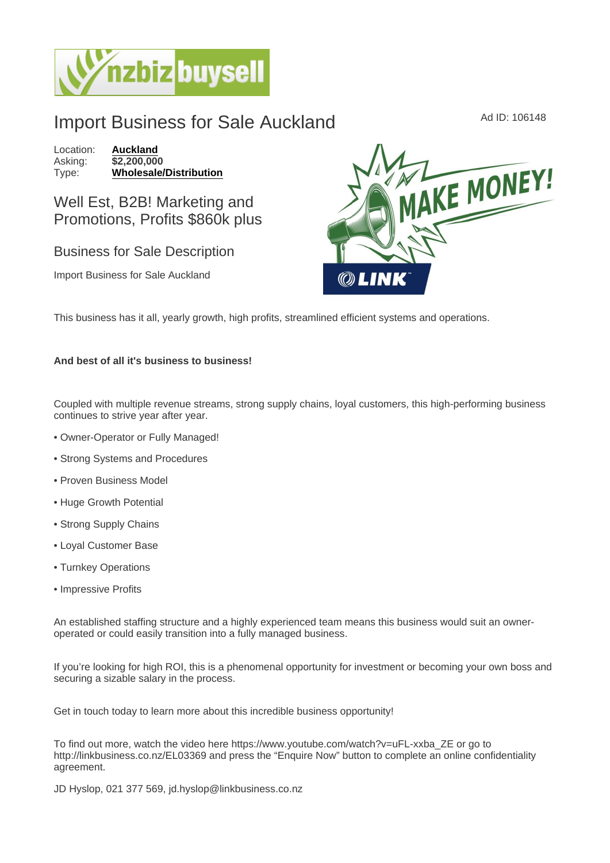## Import Business for Sale Auckland Ad ID: 106148

Location: [Auckland](https://www.nzbizbuysell.co.nz/businesses-for-sale/location/Auckland) Asking: \$2,200,000<br>Type: Wholesale/ [Wholesale/Distribution](https://www.nzbizbuysell.co.nz/businesses-for-sale/Wholesale--Distribution/New-Zealand)

Well Est, B2B! Marketing and Promotions, Profits \$860k plus

## Business for Sale Description

Import Business for Sale Auckland

This business has it all, yearly growth, high profits, streamlined efficient systems and operations.

And best of all it's business to business!

Coupled with multiple revenue streams, strong supply chains, loyal customers, this high-performing business continues to strive year after year.

- Owner-Operator or Fully Managed!
- Strong Systems and Procedures
- Proven Business Model
- Huge Growth Potential
- Strong Supply Chains
- Loyal Customer Base
- Turnkey Operations
- Impressive Profits

An established staffing structure and a highly experienced team means this business would suit an owneroperated or could easily transition into a fully managed business.

If you're looking for high ROI, this is a phenomenal opportunity for investment or becoming your own boss and securing a sizable salary in the process.

Get in touch today to learn more about this incredible business opportunity!

To find out more, watch the video here https://www.youtube.com/watch?v=uFL-xxba\_ZE or go to http://linkbusiness.co.nz/EL03369 and press the "Enquire Now" button to complete an online confidentiality agreement.

JD Hyslop, 021 377 569, jd.hyslop@linkbusiness.co.nz